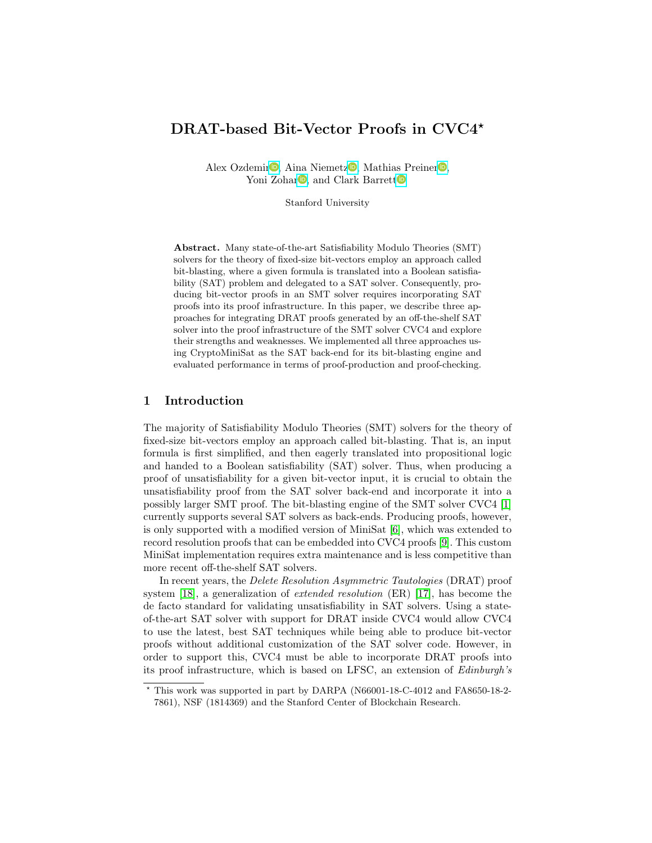# DRAT-based Bit-Vector Proofs in CVC4\*

Alex Ozdemi[r](https://orcid.org/0000-1111-2222-3333)<sup>®</sup>, Aina Niemet[z](https://orcid.org/0000-0003-2600-5283)<sup>®</sup>[,](https://orcid.org/1111-2222-3333-4444) Mathias Preiner<sup>®</sup>, Yoni Zohar<sup>D</sup>[,](https://orcid.org/2222--3333-4444-5555) and Clark Barre[t](https://orcid.org/0000-0002-9522-3084)t<sup>D</sup>

Stanford University

Abstract. Many state-of-the-art Satisfiability Modulo Theories (SMT) solvers for the theory of fixed-size bit-vectors employ an approach called bit-blasting, where a given formula is translated into a Boolean satisfiability (SAT) problem and delegated to a SAT solver. Consequently, producing bit-vector proofs in an SMT solver requires incorporating SAT proofs into its proof infrastructure. In this paper, we describe three approaches for integrating DRAT proofs generated by an off-the-shelf SAT solver into the proof infrastructure of the SMT solver CVC4 and explore their strengths and weaknesses. We implemented all three approaches using CryptoMiniSat as the SAT back-end for its bit-blasting engine and evaluated performance in terms of proof-production and proof-checking.

## 1 Introduction

The majority of Satisfiability Modulo Theories (SMT) solvers for the theory of fixed-size bit-vectors employ an approach called bit-blasting. That is, an input formula is first simplified, and then eagerly translated into propositional logic and handed to a Boolean satisfiability (SAT) solver. Thus, when producing a proof of unsatisfiability for a given bit-vector input, it is crucial to obtain the unsatisfiability proof from the SAT solver back-end and incorporate it into a possibly larger SMT proof. The bit-blasting engine of the SMT solver CVC4 [\[1\]](#page-6-0) currently supports several SAT solvers as back-ends. Producing proofs, however, is only supported with a modified version of MiniSat [\[6\]](#page-6-1), which was extended to record resolution proofs that can be embedded into CVC4 proofs [\[9\]](#page-6-2). This custom MiniSat implementation requires extra maintenance and is less competitive than more recent off-the-shelf SAT solvers.

In recent years, the Delete Resolution Asymmetric Tautologies (DRAT) proof system [\[18\]](#page-7-0), a generalization of extended resolution (ER) [\[17\]](#page-7-1), has become the de facto standard for validating unsatisfiability in SAT solvers. Using a stateof-the-art SAT solver with support for DRAT inside CVC4 would allow CVC4 to use the latest, best SAT techniques while being able to produce bit-vector proofs without additional customization of the SAT solver code. However, in order to support this, CVC4 must be able to incorporate DRAT proofs into its proof infrastructure, which is based on LFSC, an extension of Edinburgh's

<sup>?</sup> This work was supported in part by DARPA (N66001-18-C-4012 and FA8650-18-2- 7861), NSF (1814369) and the Stanford Center of Blockchain Research.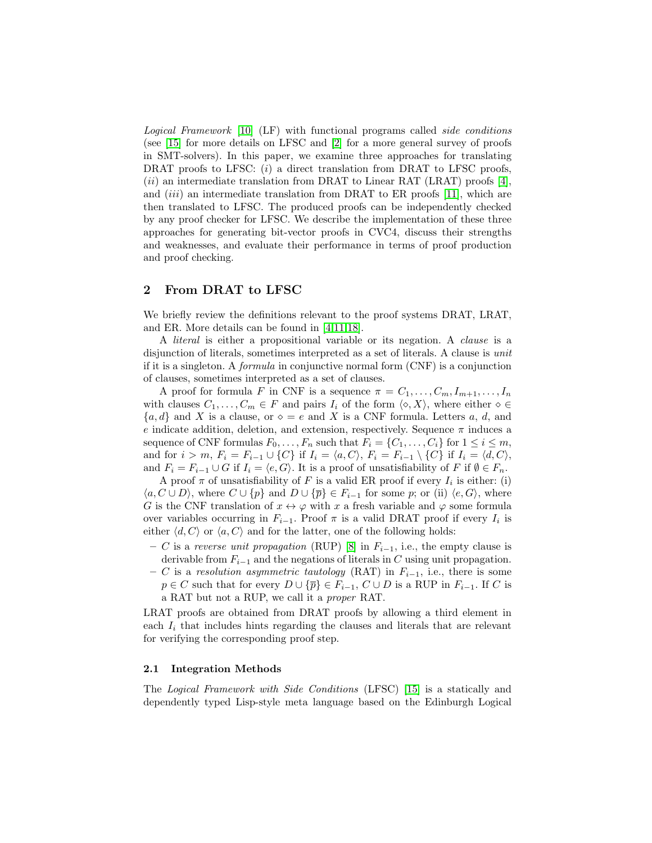Logical Framework [\[10\]](#page-6-3) (LF) with functional programs called side conditions (see [\[15\]](#page-6-4) for more details on LFSC and [\[2\]](#page-6-5) for a more general survey of proofs in SMT-solvers). In this paper, we examine three approaches for translating DRAT proofs to LFSC:  $(i)$  a direct translation from DRAT to LFSC proofs,  $(ii)$  an intermediate translation from DRAT to Linear RAT (LRAT) proofs [\[4\]](#page-6-6), and  $(iii)$  an intermediate translation from DRAT to ER proofs [\[11\]](#page-6-7), which are then translated to LFSC. The produced proofs can be independently checked by any proof checker for LFSC. We describe the implementation of these three approaches for generating bit-vector proofs in CVC4, discuss their strengths and weaknesses, and evaluate their performance in terms of proof production and proof checking.

## 2 From DRAT to LFSC

We briefly review the definitions relevant to the proof systems DRAT, LRAT, and ER. More details can be found in [\[4,](#page-6-6)[11,](#page-6-7)[18\]](#page-7-0).

A literal is either a propositional variable or its negation. A clause is a disjunction of literals, sometimes interpreted as a set of literals. A clause is unit if it is a singleton. A formula in conjunctive normal form (CNF) is a conjunction of clauses, sometimes interpreted as a set of clauses.

A proof for formula F in CNF is a sequence  $\pi = C_1, \ldots, C_m, I_{m+1}, \ldots, I_n$ with clauses  $C_1, \ldots, C_m \in F$  and pairs  $I_i$  of the form  $\langle \diamond, X \rangle$ , where either  $\diamond \in$  ${a, d}$  and X is a clause, or  $\diamond = e$  and X is a CNF formula. Letters a, d, and e indicate addition, deletion, and extension, respectively. Sequence  $\pi$  induces a sequence of CNF formulas  $F_0, \ldots, F_n$  such that  $F_i = \{C_1, \ldots, C_i\}$  for  $1 \leq i \leq m$ , and for  $i > m$ ,  $F_i = F_{i-1} \cup \{C\}$  if  $I_i = \langle a, C \rangle$ ,  $F_i = F_{i-1} \setminus \{C\}$  if  $I_i = \langle d, C \rangle$ , and  $F_i = F_{i-1} \cup G$  if  $I_i = \langle e, G \rangle$ . It is a proof of unsatisfiability of F if  $\emptyset \in F_n$ .

A proof  $\pi$  of unsatisfiability of F is a valid ER proof if every  $I_i$  is either: (i)  $\langle a, C \cup D \rangle$ , where  $C \cup \{p\}$  and  $D \cup \{\overline{p}\}\in F_{i-1}$  for some p; or (ii)  $\langle e, G \rangle$ , where G is the CNF translation of  $x \leftrightarrow \varphi$  with x a fresh variable and  $\varphi$  some formula over variables occurring in  $F_{i-1}$ . Proof  $\pi$  is a valid DRAT proof if every  $I_i$  is either  $\langle d, C \rangle$  or  $\langle a, C \rangle$  and for the latter, one of the following holds:

- C is a reverse unit propagation (RUP) [\[8\]](#page-6-8) in  $F_{i-1}$ , i.e., the empty clause is derivable from  $F_{i-1}$  and the negations of literals in C using unit propagation.
- C is a resolution asymmetric tautology (RAT) in  $F_{i-1}$ , i.e., there is some  $p \in C$  such that for every  $D \cup \{\overline{p}\}\in F_{i-1}, C \cup D$  is a RUP in  $F_{i-1}$ . If C is a RAT but not a RUP, we call it a proper RAT.

LRAT proofs are obtained from DRAT proofs by allowing a third element in each  $I_i$  that includes hints regarding the clauses and literals that are relevant for verifying the corresponding proof step.

#### <span id="page-1-0"></span>2.1 Integration Methods

The Logical Framework with Side Conditions (LFSC) [\[15\]](#page-6-4) is a statically and dependently typed Lisp-style meta language based on the Edinburgh Logical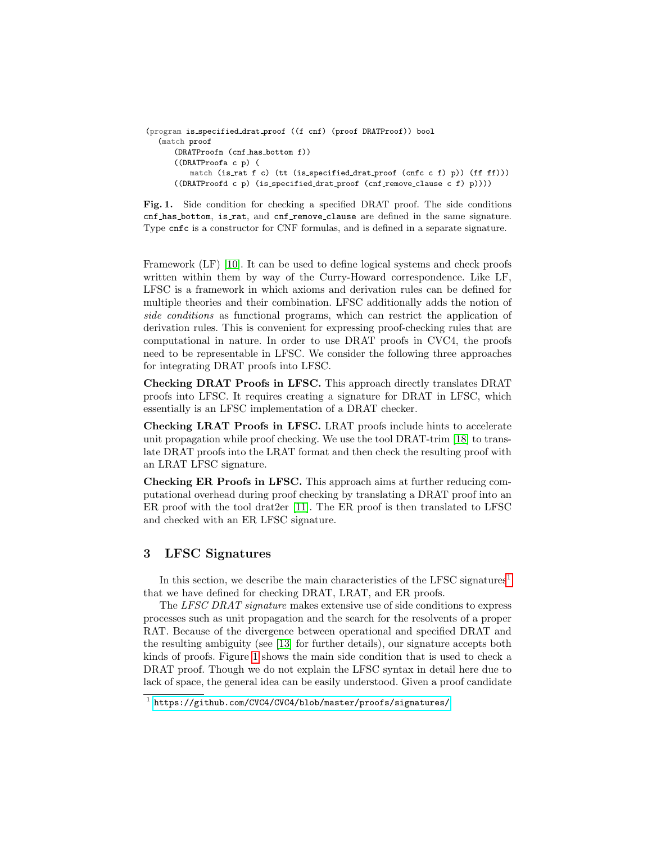```
(program is specified drat proof ((f cnf) (proof DRATProof)) bool
  (match proof
      (DRATProofn (cnf has bottom f))
      ((DRATProofa c p) (
         match (is rat f c) (tt (is specified drat proof (cnfc c f) p)) (ff ff)))
      ((DRATProofd c p) (is specified drat proof (cnf remove clause c f) p))))
```
<span id="page-2-1"></span>Fig. 1. Side condition for checking a specified DRAT proof. The side conditions cnf has bottom, is rat, and cnf remove clause are defined in the same signature. Type cnfc is a constructor for CNF formulas, and is defined in a separate signature.

Framework (LF) [\[10\]](#page-6-3). It can be used to define logical systems and check proofs written within them by way of the Curry-Howard correspondence. Like LF, LFSC is a framework in which axioms and derivation rules can be defined for multiple theories and their combination. LFSC additionally adds the notion of side conditions as functional programs, which can restrict the application of derivation rules. This is convenient for expressing proof-checking rules that are computational in nature. In order to use DRAT proofs in CVC4, the proofs need to be representable in LFSC. We consider the following three approaches for integrating DRAT proofs into LFSC.

Checking DRAT Proofs in LFSC. This approach directly translates DRAT proofs into LFSC. It requires creating a signature for DRAT in LFSC, which essentially is an LFSC implementation of a DRAT checker.

Checking LRAT Proofs in LFSC. LRAT proofs include hints to accelerate unit propagation while proof checking. We use the tool DRAT-trim [\[18\]](#page-7-0) to translate DRAT proofs into the LRAT format and then check the resulting proof with an LRAT LFSC signature.

Checking ER Proofs in LFSC. This approach aims at further reducing computational overhead during proof checking by translating a DRAT proof into an ER proof with the tool drat2er [\[11\]](#page-6-7). The ER proof is then translated to LFSC and checked with an ER LFSC signature.

# <span id="page-2-2"></span>3 LFSC Signatures

In this section, we describe the main characteristics of the LFSC signatures<sup>[1](#page-2-0)</sup> that we have defined for checking DRAT, LRAT, and ER proofs.

The LFSC DRAT signature makes extensive use of side conditions to express processes such as unit propagation and the search for the resolvents of a proper RAT. Because of the divergence between operational and specified DRAT and the resulting ambiguity (see [\[13\]](#page-6-9) for further details), our signature accepts both kinds of proofs. Figure [1](#page-2-1) shows the main side condition that is used to check a DRAT proof. Though we do not explain the LFSC syntax in detail here due to lack of space, the general idea can be easily understood. Given a proof candidate

<span id="page-2-0"></span><sup>1</sup> <https://github.com/CVC4/CVC4/blob/master/proofs/signatures/>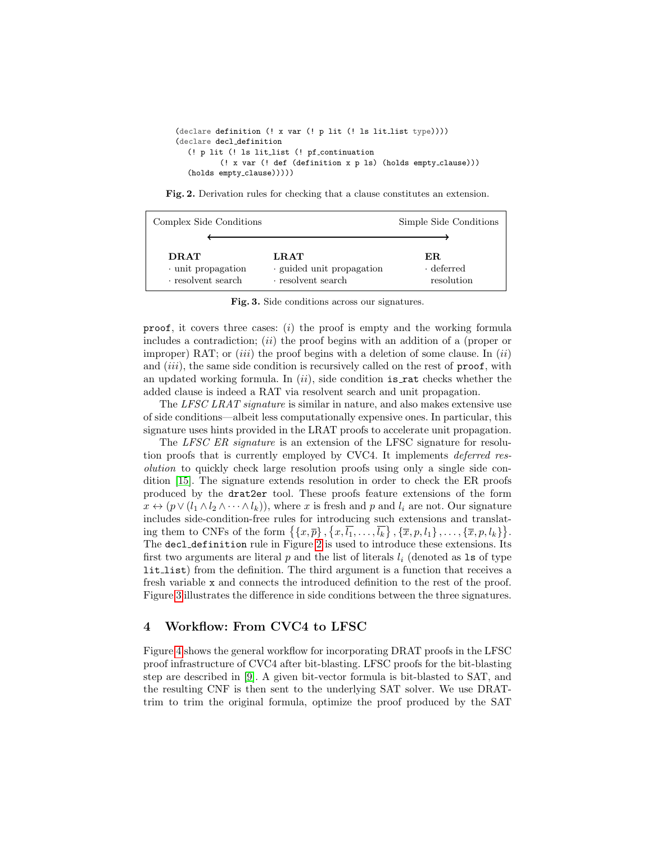```
(declare definition (! x var (! p lit (! ls lit list type))))
(declare decl definition
  (! p lit (! ls lit list (! pf continuation
          (! x var (! def (definition x p ls) (holds empty clause)))
  (holds empty_clause)))))
```
<span id="page-3-0"></span>Fig. 2. Derivation rules for checking that a clause constitutes an extension.

| Complex Side Conditions                                             |                                                             | Simple Side Conditions                |
|---------------------------------------------------------------------|-------------------------------------------------------------|---------------------------------------|
|                                                                     |                                                             |                                       |
| <b>DRAT</b><br>$\cdot$ unit propagation<br>$\cdot$ resolvent search | LRAT<br>guided unit propagation<br>$\cdot$ resolvent search | ER.<br>$\cdot$ deferred<br>resolution |

<span id="page-3-1"></span>Fig. 3. Side conditions across our signatures.

proof, it covers three cases:  $(i)$  the proof is empty and the working formula includes a contradiction;  $(ii)$  the proof begins with an addition of a (proper or improper) RAT; or *(iii)* the proof begins with a deletion of some clause. In *(ii)* and  $(iii)$ , the same side condition is recursively called on the rest of  $proof$ , with an updated working formula. In  $(ii)$ , side condition is rat checks whether the added clause is indeed a RAT via resolvent search and unit propagation.

The LFSC LRAT signature is similar in nature, and also makes extensive use of side conditions—albeit less computationally expensive ones. In particular, this signature uses hints provided in the LRAT proofs to accelerate unit propagation.

The LFSC ER signature is an extension of the LFSC signature for resolution proofs that is currently employed by CVC4. It implements deferred resolution to quickly check large resolution proofs using only a single side condition [\[15\]](#page-6-4). The signature extends resolution in order to check the ER proofs produced by the drat2er tool. These proofs feature extensions of the form  $x \leftrightarrow (p \lor (l_1 \land l_2 \land \cdots \land l_k))$ , where x is fresh and p and  $l_i$  are not. Our signature includes side-condition-free rules for introducing such extensions and translating them to CNFs of the form  $\{\{x,\overline{p}\},\{x,\overline{l_1},\ldots,\overline{l_k}\},\{\overline{x},p,l_1\},\ldots,\{\overline{x},p,l_k\}\}.$ The decl definition rule in Figure [2](#page-3-0) is used to introduce these extensions. Its first two arguments are literal  $p$  and the list of literals  $l_i$  (denoted as 1s of type lit list) from the definition. The third argument is a function that receives a fresh variable x and connects the introduced definition to the rest of the proof. Figure [3](#page-3-1) illustrates the difference in side conditions between the three signatures.

# 4 Workflow: From CVC4 to LFSC

Figure [4](#page-4-0) shows the general workflow for incorporating DRAT proofs in the LFSC proof infrastructure of CVC4 after bit-blasting. LFSC proofs for the bit-blasting step are described in [\[9\]](#page-6-2). A given bit-vector formula is bit-blasted to SAT, and the resulting CNF is then sent to the underlying SAT solver. We use DRATtrim to trim the original formula, optimize the proof produced by the SAT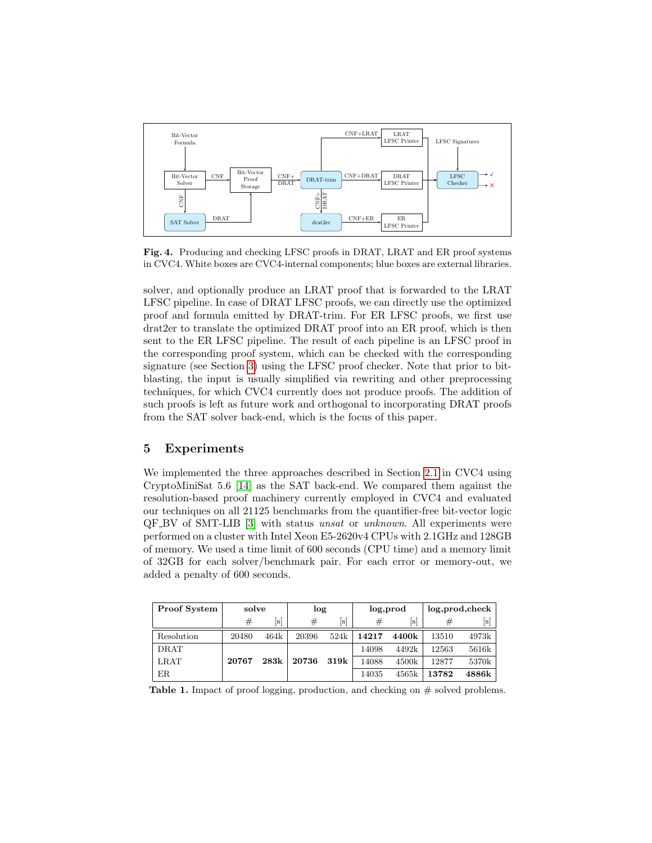

<span id="page-4-0"></span>Fig. 4. Producing and checking LFSC proofs in DRAT, LRAT and ER proof systems in CVC4. White boxes are CVC4-internal components; blue boxes are external libraries.

solver, and optionally produce an LRAT proof that is forwarded to the LRAT LFSC pipeline. In case of DRAT LFSC proofs, we can directly use the optimized proof and formula emitted by DRAT-trim. For ER LFSC proofs, we first use drat2er to translate the optimized DRAT proof into an ER proof, which is then sent to the ER LFSC pipeline. The result of each pipeline is an LFSC proof in the corresponding proof system, which can be checked with the corresponding signature (see Section [3\)](#page-2-2) using the LFSC proof checker. Note that prior to bitblasting, the input is usually simplified via rewriting and other preprocessing techniques, for which CVC4 currently does not produce proofs. The addition of such proofs is left as future work and orthogonal to incorporating DRAT proofs from the SAT solver back-end, which is the focus of this paper.

# 5 Experiments

We implemented the three approaches described in Section [2.1](#page-1-0) in CVC4 using CryptoMiniSat 5.6 [\[14\]](#page-6-10) as the SAT back-end. We compared them against the resolution-based proof machinery currently employed in CVC4 and evaluated our techniques on all 21125 benchmarks from the quantifier-free bit-vector logic QF BV of SMT-LIB [\[3\]](#page-6-11) with status unsat or unknown. All experiments were performed on a cluster with Intel Xeon E5-2620v4 CPUs with 2.1GHz and 128GB of memory. We used a time limit of 600 seconds (CPU time) and a memory limit of 32GB for each solver/benchmark pair. For each error or memory-out, we added a penalty of 600 seconds.

| <b>Proof System</b> | solve |      | log   |      | log, prod |       | log, prod, check |                |
|---------------------|-------|------|-------|------|-----------|-------|------------------|----------------|
|                     | #     | s    | #     | [s]  | $_{\#}$   | s     | #                | $[\mathrm{s}]$ |
| Resolution          | 20480 | 464k | 20396 | 524k | 14217     | 4400k | 13510            | 4973k          |
| <b>DRAT</b>         |       |      |       |      | 14098     | 4492k | 12563            | 5616k          |
| LRAT                | 20767 | 283k | 20736 | 319k | 14088     | 4500k | 12877            | 5370k          |
| ER                  |       |      |       |      | 14035     | 4565k | 13782            | 4886k          |

<span id="page-4-1"></span>**Table 1.** Impact of proof logging, production, and checking on  $#$  solved problems.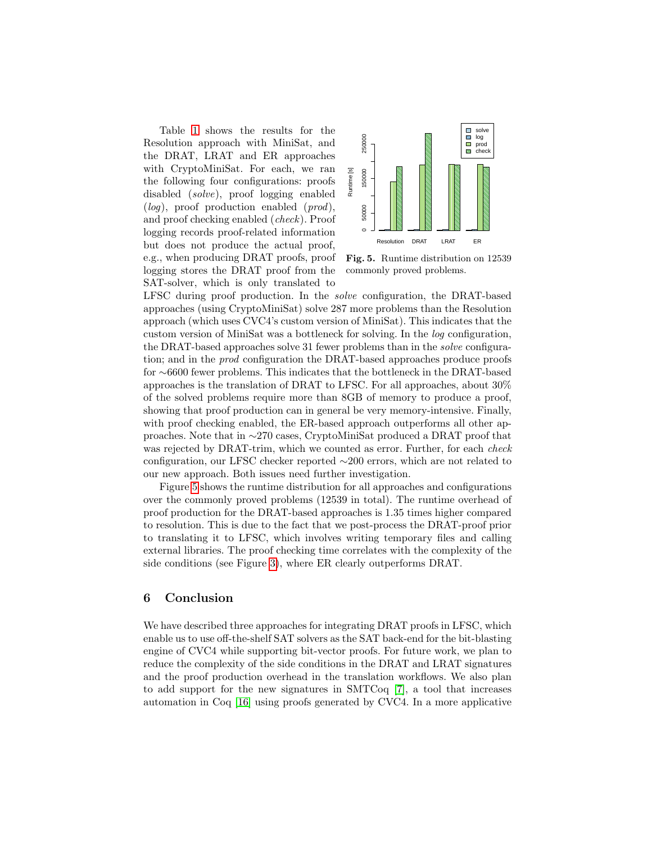Table [1](#page-4-1) shows the results for the Resolution approach with MiniSat, and the DRAT, LRAT and ER approaches with CryptoMiniSat. For each, we ran the following four configurations: proofs disabled (solve), proof logging enabled  $(log)$ , proof production enabled  $(pred)$ , and proof checking enabled (check). Proof logging records proof-related information but does not produce the actual proof, e.g., when producing DRAT proofs, proof logging stores the DRAT proof from the SAT-solver, which is only translated to



<span id="page-5-0"></span>Fig. 5. Runtime distribution on 12539 commonly proved problems.

LFSC during proof production. In the solve configuration, the DRAT-based approaches (using CryptoMiniSat) solve 287 more problems than the Resolution approach (which uses CVC4's custom version of MiniSat). This indicates that the custom version of MiniSat was a bottleneck for solving. In the log configuration, the DRAT-based approaches solve 31 fewer problems than in the solve configuration; and in the prod configuration the DRAT-based approaches produce proofs for ∼6600 fewer problems. This indicates that the bottleneck in the DRAT-based approaches is the translation of DRAT to LFSC. For all approaches, about 30% of the solved problems require more than 8GB of memory to produce a proof, showing that proof production can in general be very memory-intensive. Finally, with proof checking enabled, the ER-based approach outperforms all other approaches. Note that in ∼270 cases, CryptoMiniSat produced a DRAT proof that was rejected by DRAT-trim, which we counted as error. Further, for each *check* configuration, our LFSC checker reported ∼200 errors, which are not related to our new approach. Both issues need further investigation.

Figure [5](#page-5-0) shows the runtime distribution for all approaches and configurations over the commonly proved problems (12539 in total). The runtime overhead of proof production for the DRAT-based approaches is 1.35 times higher compared to resolution. This is due to the fact that we post-process the DRAT-proof prior to translating it to LFSC, which involves writing temporary files and calling external libraries. The proof checking time correlates with the complexity of the side conditions (see Figure [3\)](#page-3-1), where ER clearly outperforms DRAT.

## 6 Conclusion

We have described three approaches for integrating DRAT proofs in LFSC, which enable us to use off-the-shelf SAT solvers as the SAT back-end for the bit-blasting engine of CVC4 while supporting bit-vector proofs. For future work, we plan to reduce the complexity of the side conditions in the DRAT and LRAT signatures and the proof production overhead in the translation workflows. We also plan to add support for the new signatures in SMTCoq [\[7\]](#page-6-12), a tool that increases automation in Coq [\[16\]](#page-7-2) using proofs generated by CVC4. In a more applicative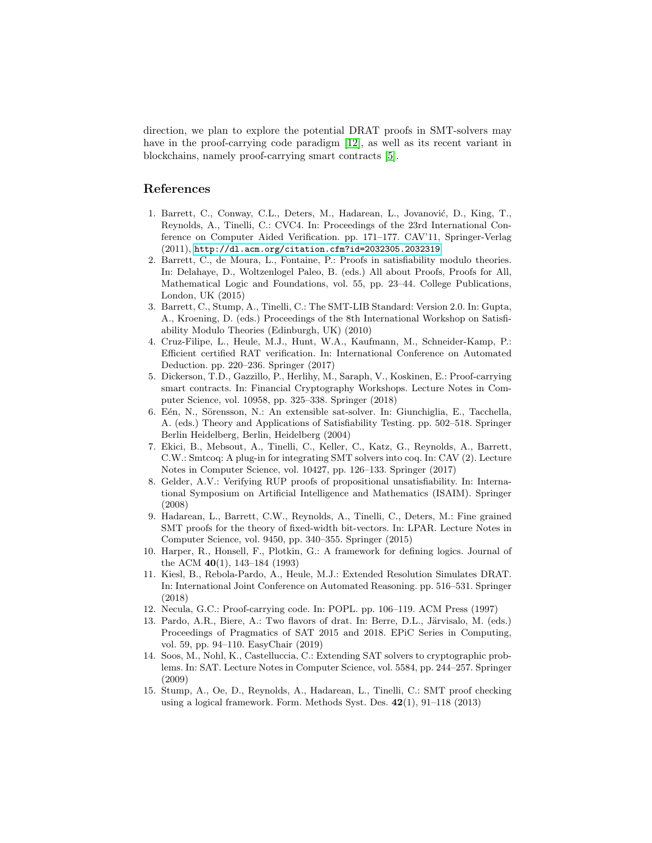direction, we plan to explore the potential DRAT proofs in SMT-solvers may have in the proof-carrying code paradigm [\[12\]](#page-6-13), as well as its recent variant in blockchains, namely proof-carrying smart contracts [\[5\]](#page-6-14).

## References

- <span id="page-6-0"></span>1. Barrett, C., Conway, C.L., Deters, M., Hadarean, L., Jovanović, D., King, T., Reynolds, A., Tinelli, C.: CVC4. In: Proceedings of the 23rd International Conference on Computer Aided Verification. pp. 171–177. CAV'11, Springer-Verlag (2011), <http://dl.acm.org/citation.cfm?id=2032305.2032319>
- <span id="page-6-5"></span>2. Barrett, C., de Moura, L., Fontaine, P.: Proofs in satisfiability modulo theories. In: Delahaye, D., Woltzenlogel Paleo, B. (eds.) All about Proofs, Proofs for All, Mathematical Logic and Foundations, vol. 55, pp. 23–44. College Publications, London, UK (2015)
- <span id="page-6-11"></span>3. Barrett, C., Stump, A., Tinelli, C.: The SMT-LIB Standard: Version 2.0. In: Gupta, A., Kroening, D. (eds.) Proceedings of the 8th International Workshop on Satisfiability Modulo Theories (Edinburgh, UK) (2010)
- <span id="page-6-6"></span>4. Cruz-Filipe, L., Heule, M.J., Hunt, W.A., Kaufmann, M., Schneider-Kamp, P.: Efficient certified RAT verification. In: International Conference on Automated Deduction. pp. 220–236. Springer (2017)
- <span id="page-6-14"></span>5. Dickerson, T.D., Gazzillo, P., Herlihy, M., Saraph, V., Koskinen, E.: Proof-carrying smart contracts. In: Financial Cryptography Workshops. Lecture Notes in Computer Science, vol. 10958, pp. 325–338. Springer (2018)
- <span id="page-6-1"></span>6. Eén, N., Sörensson, N.: An extensible sat-solver. In: Giunchiglia, E., Tacchella, A. (eds.) Theory and Applications of Satisfiability Testing. pp. 502–518. Springer Berlin Heidelberg, Berlin, Heidelberg (2004)
- <span id="page-6-12"></span>7. Ekici, B., Mebsout, A., Tinelli, C., Keller, C., Katz, G., Reynolds, A., Barrett, C.W.: Smtcoq: A plug-in for integrating SMT solvers into coq. In: CAV (2). Lecture Notes in Computer Science, vol. 10427, pp. 126–133. Springer (2017)
- <span id="page-6-8"></span>8. Gelder, A.V.: Verifying RUP proofs of propositional unsatisfiability. In: International Symposium on Artificial Intelligence and Mathematics (ISAIM). Springer (2008)
- <span id="page-6-2"></span>9. Hadarean, L., Barrett, C.W., Reynolds, A., Tinelli, C., Deters, M.: Fine grained SMT proofs for the theory of fixed-width bit-vectors. In: LPAR. Lecture Notes in Computer Science, vol. 9450, pp. 340–355. Springer (2015)
- <span id="page-6-3"></span>10. Harper, R., Honsell, F., Plotkin, G.: A framework for defining logics. Journal of the ACM 40(1), 143–184 (1993)
- <span id="page-6-7"></span>11. Kiesl, B., Rebola-Pardo, A., Heule, M.J.: Extended Resolution Simulates DRAT. In: International Joint Conference on Automated Reasoning. pp. 516–531. Springer (2018)
- <span id="page-6-13"></span>12. Necula, G.C.: Proof-carrying code. In: POPL. pp. 106–119. ACM Press (1997)
- <span id="page-6-9"></span>13. Pardo, A.R., Biere, A.: Two flavors of drat. In: Berre, D.L., Järvisalo, M. (eds.) Proceedings of Pragmatics of SAT 2015 and 2018. EPiC Series in Computing, vol. 59, pp. 94–110. EasyChair (2019)
- <span id="page-6-10"></span>14. Soos, M., Nohl, K., Castelluccia, C.: Extending SAT solvers to cryptographic problems. In: SAT. Lecture Notes in Computer Science, vol. 5584, pp. 244–257. Springer (2009)
- <span id="page-6-4"></span>15. Stump, A., Oe, D., Reynolds, A., Hadarean, L., Tinelli, C.: SMT proof checking using a logical framework. Form. Methods Syst. Des.  $42(1)$ ,  $91-118$  (2013)